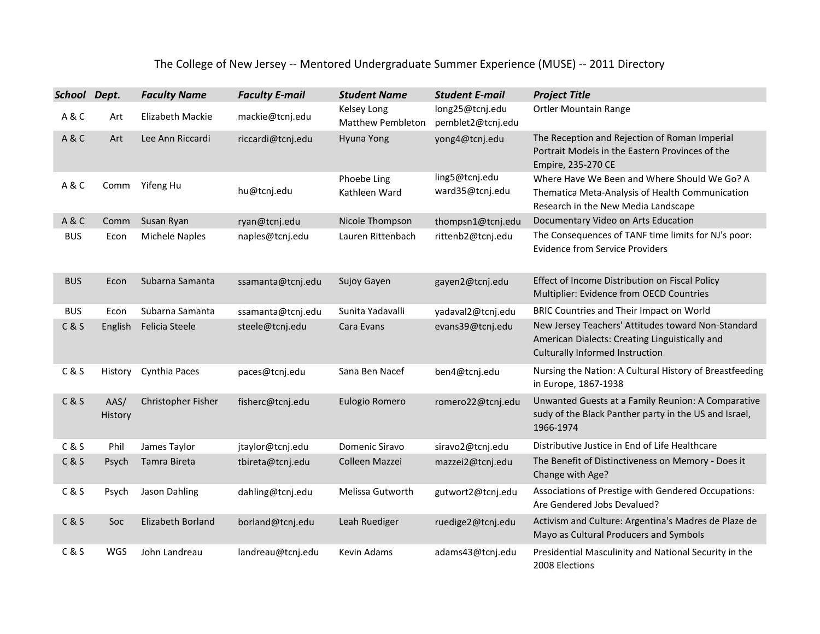## The College of New Jersey -- Mentored Undergraduate Summer Experience (MUSE) -- 2011 Directory

| School Dept. |                 | <b>Faculty Name</b>   | <b>Faculty E-mail</b> | <b>Student Name</b>                     | <b>Student E-mail</b>                | <b>Project Title</b>                                                                                                                    |
|--------------|-----------------|-----------------------|-----------------------|-----------------------------------------|--------------------------------------|-----------------------------------------------------------------------------------------------------------------------------------------|
| A&C          | Art             | Elizabeth Mackie      | mackie@tcnj.edu       | Kelsey Long<br><b>Matthew Pembleton</b> | long25@tcnj.edu<br>pemblet2@tcnj.edu | <b>Ortler Mountain Range</b>                                                                                                            |
| A&C          | Art             | Lee Ann Riccardi      | riccardi@tcnj.edu     | Hyuna Yong                              | yong4@tcnj.edu                       | The Reception and Rejection of Roman Imperial<br>Portrait Models in the Eastern Provinces of the<br>Empire, 235-270 CE                  |
| A&C          | Comm            | Yifeng Hu             | hu@tcnj.edu           | Phoebe Ling<br>Kathleen Ward            | ling5@tcnj.edu<br>ward35@tcnj.edu    | Where Have We Been and Where Should We Go? A<br>Thematica Meta-Analysis of Health Communication<br>Research in the New Media Landscape  |
| A&C          | Comm            | Susan Ryan            | ryan@tcnj.edu         | Nicole Thompson                         | thompsn1@tcnj.edu                    | Documentary Video on Arts Education                                                                                                     |
| <b>BUS</b>   | Econ            | <b>Michele Naples</b> | naples@tcnj.edu       | Lauren Rittenbach                       | rittenb2@tcnj.edu                    | The Consequences of TANF time limits for NJ's poor:<br><b>Evidence from Service Providers</b>                                           |
| <b>BUS</b>   | Econ            | Subarna Samanta       | ssamanta@tcnj.edu     | Sujoy Gayen                             | gayen2@tcnj.edu                      | Effect of Income Distribution on Fiscal Policy<br>Multiplier: Evidence from OECD Countries                                              |
| <b>BUS</b>   | Econ            | Subarna Samanta       | ssamanta@tcnj.edu     | Sunita Yadavalli                        | yadaval2@tcnj.edu                    | BRIC Countries and Their Impact on World                                                                                                |
| C & S        | English         | Felicia Steele        | steele@tcnj.edu       | Cara Evans                              | evans39@tcnj.edu                     | New Jersey Teachers' Attitudes toward Non-Standard<br>American Dialects: Creating Linguistically and<br>Culturally Informed Instruction |
| C & S        | History         | Cynthia Paces         | paces@tcnj.edu        | Sana Ben Nacef                          | ben4@tcnj.edu                        | Nursing the Nation: A Cultural History of Breastfeeding<br>in Europe, 1867-1938                                                         |
| C & S        | AAS/<br>History | Christopher Fisher    | fisherc@tcnj.edu      | Eulogio Romero                          | romero22@tcnj.edu                    | Unwanted Guests at a Family Reunion: A Comparative<br>sudy of the Black Panther party in the US and Israel,<br>1966-1974                |
| C & S        | Phil            | James Taylor          | jtaylor@tcnj.edu      | Domenic Siravo                          | siravo2@tcnj.edu                     | Distributive Justice in End of Life Healthcare                                                                                          |
| C & S        | Psych           | Tamra Bireta          | tbireta@tcnj.edu      | Colleen Mazzei                          | mazzei2@tcnj.edu                     | The Benefit of Distinctiveness on Memory - Does it<br>Change with Age?                                                                  |
| C & S        | Psych           | Jason Dahling         | dahling@tcnj.edu      | Melissa Gutworth                        | gutwort2@tcnj.edu                    | Associations of Prestige with Gendered Occupations:<br>Are Gendered Jobs Devalued?                                                      |
| C & S        | Soc             | Elizabeth Borland     | borland@tcnj.edu      | Leah Ruediger                           | ruedige2@tcnj.edu                    | Activism and Culture: Argentina's Madres de Plaze de<br>Mayo as Cultural Producers and Symbols                                          |
| C & S        | WGS             | John Landreau         | landreau@tcnj.edu     | Kevin Adams                             | adams43@tcnj.edu                     | Presidential Masculinity and National Security in the<br>2008 Elections                                                                 |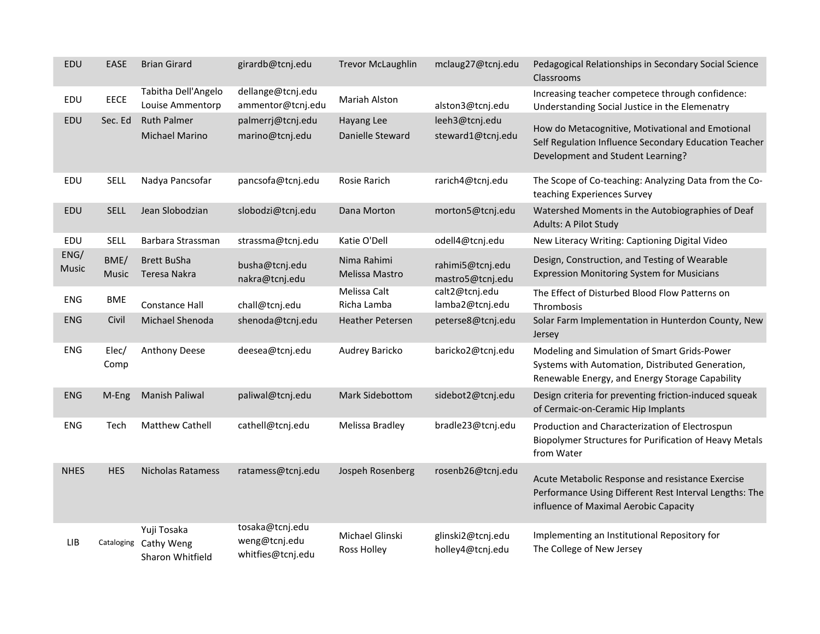| EDU                  | <b>EASE</b>   | <b>Brian Girard</b>                                      | girardb@tcnj.edu                                      | <b>Trevor McLaughlin</b>              | mclaug27@tcnj.edu                     | Pedagogical Relationships in Secondary Social Science<br>Classrooms                                                                                 |
|----------------------|---------------|----------------------------------------------------------|-------------------------------------------------------|---------------------------------------|---------------------------------------|-----------------------------------------------------------------------------------------------------------------------------------------------------|
| EDU                  | <b>EECE</b>   | Tabitha Dell'Angelo<br>Louise Ammentorp                  | dellange@tcnj.edu<br>ammentor@tcnj.edu                | Mariah Alston                         | alston3@tcnj.edu                      | Increasing teacher competece through confidence:<br>Understanding Social Justice in the Elemenatry                                                  |
| EDU                  | Sec. Ed       | <b>Ruth Palmer</b><br><b>Michael Marino</b>              | palmerrj@tcnj.edu<br>marino@tcnj.edu                  | Hayang Lee<br>Danielle Steward        | leeh3@tcnj.edu<br>steward1@tcnj.edu   | How do Metacognitive, Motivational and Emotional<br>Self Regulation Influence Secondary Education Teacher<br>Development and Student Learning?      |
| EDU                  | <b>SELL</b>   | Nadya Pancsofar                                          | pancsofa@tcnj.edu                                     | Rosie Rarich                          | rarich4@tcnj.edu                      | The Scope of Co-teaching: Analyzing Data from the Co-<br>teaching Experiences Survey                                                                |
| EDU                  | <b>SELL</b>   | Jean Slobodzian                                          | slobodzi@tcnj.edu                                     | Dana Morton                           | morton5@tcnj.edu                      | Watershed Moments in the Autobiographies of Deaf<br>Adults: A Pilot Study                                                                           |
| EDU                  | <b>SELL</b>   | Barbara Strassman                                        | strassma@tcnj.edu                                     | Katie O'Dell                          | odell4@tcnj.edu                       | New Literacy Writing: Captioning Digital Video                                                                                                      |
| ENG/<br><b>Music</b> | BME/<br>Music | <b>Brett BuSha</b><br>Teresa Nakra                       | busha@tcnj.edu<br>nakra@tcnj.edu                      | Nima Rahimi<br>Melissa Mastro         | rahimi5@tcnj.edu<br>mastro5@tcnj.edu  | Design, Construction, and Testing of Wearable<br><b>Expression Monitoring System for Musicians</b>                                                  |
| <b>ENG</b>           | <b>BME</b>    | <b>Constance Hall</b>                                    | chall@tcnj.edu                                        | Melissa Calt<br>Richa Lamba           | calt2@tcnj.edu<br>lamba2@tcnj.edu     | The Effect of Disturbed Blood Flow Patterns on<br>Thrombosis                                                                                        |
| ENG                  | Civil         | Michael Shenoda                                          | shenoda@tcnj.edu                                      | <b>Heather Petersen</b>               | peterse8@tcnj.edu                     | Solar Farm Implementation in Hunterdon County, New<br>Jersey                                                                                        |
| <b>ENG</b>           | Elec/<br>Comp | <b>Anthony Deese</b>                                     | deesea@tcnj.edu                                       | Audrey Baricko                        | baricko2@tcnj.edu                     | Modeling and Simulation of Smart Grids-Power<br>Systems with Automation, Distributed Generation,<br>Renewable Energy, and Energy Storage Capability |
| <b>ENG</b>           | M-Eng         | <b>Manish Paliwal</b>                                    | paliwal@tcnj.edu                                      | Mark Sidebottom                       | sidebot2@tcnj.edu                     | Design criteria for preventing friction-induced squeak<br>of Cermaic-on-Ceramic Hip Implants                                                        |
| ENG                  | Tech          | <b>Matthew Cathell</b>                                   | cathell@tcnj.edu                                      | Melissa Bradley                       | bradle23@tcnj.edu                     | Production and Characterization of Electrospun<br>Biopolymer Structures for Purification of Heavy Metals<br>from Water                              |
| <b>NHES</b>          | <b>HES</b>    | <b>Nicholas Ratamess</b>                                 | ratamess@tcnj.edu                                     | Jospeh Rosenberg                      | rosenb26@tcnj.edu                     | Acute Metabolic Response and resistance Exercise<br>Performance Using Different Rest Interval Lengths: The<br>influence of Maximal Aerobic Capacity |
| LIB                  |               | Yuji Tosaka<br>Cataloging Cathy Weng<br>Sharon Whitfield | tosaka@tcnj.edu<br>weng@tcnj.edu<br>whitfies@tcnj.edu | Michael Glinski<br><b>Ross Holley</b> | glinski2@tcnj.edu<br>holley4@tcnj.edu | Implementing an Institutional Repository for<br>The College of New Jersey                                                                           |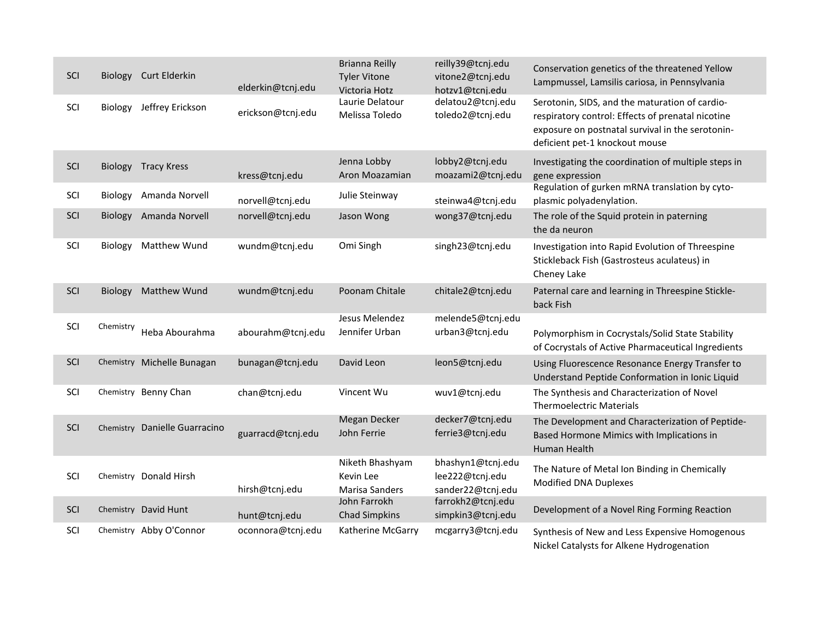| SCI |           | Biology Curt Elderkin         |                   | <b>Brianna Reilly</b><br><b>Tyler Vitone</b>   | reilly39@tcnj.edu<br>vitone2@tcnj.edu                     | Conservation genetics of the threatened Yellow                                                                                                                                            |
|-----|-----------|-------------------------------|-------------------|------------------------------------------------|-----------------------------------------------------------|-------------------------------------------------------------------------------------------------------------------------------------------------------------------------------------------|
|     |           |                               | elderkin@tcnj.edu | Victoria Hotz                                  | hotzv1@tcni.edu                                           | Lampmussel, Lamsilis cariosa, in Pennsylvania                                                                                                                                             |
| SCI | Biology   | Jeffrey Erickson              | erickson@tcnj.edu | Laurie Delatour<br>Melissa Toledo              | delatou2@tcnj.edu<br>toledo2@tcnj.edu                     | Serotonin, SIDS, and the maturation of cardio-<br>respiratory control: Effects of prenatal nicotine<br>exposure on postnatal survival in the serotonin-<br>deficient pet-1 knockout mouse |
| SCI |           | <b>Biology Tracy Kress</b>    | kress@tcnj.edu    | Jenna Lobby<br>Aron Moazamian                  | lobby2@tcnj.edu<br>moazami2@tcnj.edu                      | Investigating the coordination of multiple steps in<br>gene expression                                                                                                                    |
| SCI | Biology   | Amanda Norvell                | norvell@tcnj.edu  | Julie Steinway                                 | steinwa4@tcnj.edu                                         | Regulation of gurken mRNA translation by cyto-<br>plasmic polyadenylation.                                                                                                                |
| SCI | Biology   | Amanda Norvell                | norvell@tcnj.edu  | Jason Wong                                     | wong37@tcnj.edu                                           | The role of the Squid protein in paterning<br>the da neuron                                                                                                                               |
| SCI | Biology   | Matthew Wund                  | wundm@tcnj.edu    | Omi Singh                                      | singh23@tcnj.edu                                          | Investigation into Rapid Evolution of Threespine<br>Stickleback Fish (Gastrosteus aculateus) in<br>Cheney Lake                                                                            |
| SCI |           | Biology Matthew Wund          | wundm@tcnj.edu    | Poonam Chitale                                 | chitale2@tcnj.edu                                         | Paternal care and learning in Threespine Stickle-<br>back Fish                                                                                                                            |
| SCI | Chemistry | Heba Abourahma                | abourahm@tcnj.edu | Jesus Melendez<br>Jennifer Urban               | melende5@tcnj.edu<br>urban3@tcnj.edu                      | Polymorphism in Cocrystals/Solid State Stability<br>of Cocrystals of Active Pharmaceutical Ingredients                                                                                    |
| SCI |           | Chemistry Michelle Bunagan    | bunagan@tcnj.edu  | David Leon                                     | leon5@tcnj.edu                                            | Using Fluorescence Resonance Energy Transfer to<br>Understand Peptide Conformation in Ionic Liquid                                                                                        |
| SCI |           | Chemistry Benny Chan          | chan@tcnj.edu     | Vincent Wu                                     | wuv1@tcnj.edu                                             | The Synthesis and Characterization of Novel<br><b>Thermoelectric Materials</b>                                                                                                            |
| SCI |           | Chemistry Danielle Guarracino | guarracd@tcnj.edu | Megan Decker<br>John Ferrie                    | decker7@tcnj.edu<br>ferrie3@tcnj.edu                      | The Development and Characterization of Peptide-<br>Based Hormone Mimics with Implications in<br>Human Health                                                                             |
| SCI |           | Chemistry Donald Hirsh        | hirsh@tcnj.edu    | Niketh Bhashyam<br>Kevin Lee<br>Marisa Sanders | bhashyn1@tcnj.edu<br>lee222@tcnj.edu<br>sander22@tcnj.edu | The Nature of Metal Ion Binding in Chemically<br>Modified DNA Duplexes                                                                                                                    |
| SCI |           | Chemistry David Hunt          | hunt@tcnj.edu     | John Farrokh<br><b>Chad Simpkins</b>           | farrokh2@tcnj.edu<br>simpkin3@tcnj.edu                    | Development of a Novel Ring Forming Reaction                                                                                                                                              |
| SCI |           | Chemistry Abby O'Connor       | oconnora@tcnj.edu | Katherine McGarry                              | mcgarry3@tcnj.edu                                         | Synthesis of New and Less Expensive Homogenous<br>Nickel Catalysts for Alkene Hydrogenation                                                                                               |